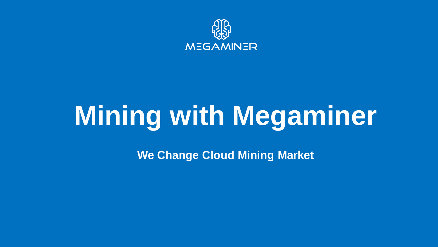

## **Mining with Megaminer**

**We Change Cloud Mining Market**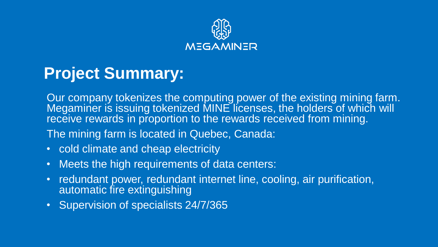

## **Project Summary:**

Our company tokenizes the computing power of the existing mining farm. Megaminer is issuing tokenized MINE licenses, the holders of which will receive rewards in proportion to the rewards received from mining.

The mining farm is located in Quebec, Canada:

- cold climate and cheap electricity
- Meets the high requirements of data centers:
- redundant power, redundant internet line, cooling, air purification, automatic fire extinguishing
- Supervision of specialists 24/7/365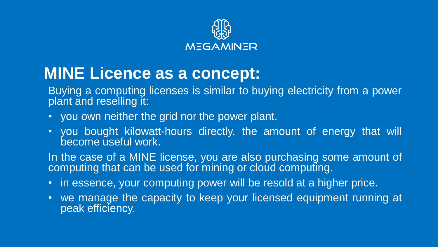

## **MINE Licence as a concept:**

Buying a computing licenses is similar to buying electricity from a power plant and reselling it:

- you own neither the grid nor the power plant.
- you bought kilowatt-hours directly, the amount of energy that will become useful work.

In the case of a MINE license, you are also purchasing some amount of computing that can be used for mining or cloud computing.

- in essence, your computing power will be resold at a higher price.
- we manage the capacity to keep your licensed equipment running at peak efficiency.